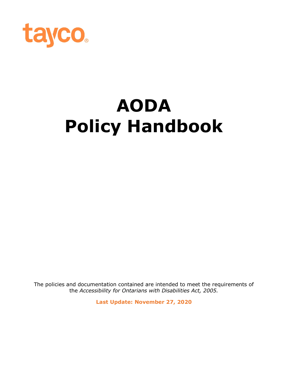

# **AODA Policy Handbook**

The policies and documentation contained are intended to meet the requirements of the *Accessibility for Ontarians with Disabilities Act, 2005.*

**Last Update: November 27, 2020**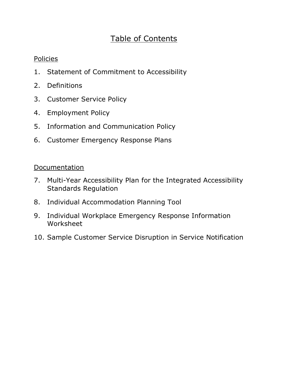# Table of Contents

# Policies

- 1. Statement of Commitment to Accessibility
- 2. Definitions
- 3. Customer Service Policy
- 4. Employment Policy
- 5. Information and Communication Policy
- 6. Customer Emergency Response Plans

# **Documentation**

- 7. Multi-Year Accessibility Plan for the Integrated Accessibility Standards Regulation
- 8. Individual Accommodation Planning Tool
- 9. Individual Workplace Emergency Response Information Worksheet
- 10. Sample Customer Service Disruption in Service Notification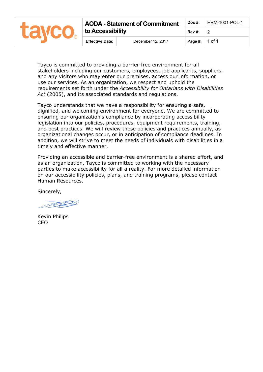|  | <b>AODA - Statement of Commitment</b> |                   | Doc $#$ : | HRM-1001-POL-1 |
|--|---------------------------------------|-------------------|-----------|----------------|
|  | to Accessibility                      | Rev#:             |           |                |
|  | <b>Effective Date:</b>                | December 12, 2017 | Page #:   | $\vert$ 1 of 1 |

Tayco is committed to providing a barrier-free environment for all stakeholders including our customers, employees, job applicants, suppliers, and any visitors who may enter our premises, access our information, or use our services. As an organization, we respect and uphold the requirements set forth under the *Accessibility for Ontarians with Disabilities Act* (2005), and its associated standards and regulations.

Tayco understands that we have a responsibility for ensuring a safe, dignified, and welcoming environment for everyone. We are committed to ensuring our organization's compliance by incorporating accessibility legislation into our policies, procedures, equipment requirements, training, and best practices. We will review these policies and practices annually, as organizational changes occur, or in anticipation of compliance deadlines. In addition, we will strive to meet the needs of individuals with disabilities in a timely and effective manner.

Providing an accessible and barrier-free environment is a shared effort, and as an organization, Tayco is committed to working with the necessary parties to make accessibility for all a reality. For more detailed information on our accessibility policies, plans, and training programs, please contact Human Resources.

Sincerely,

**REPS** 

Kevin Philips CEO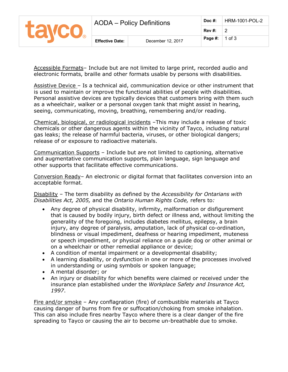|       | AODA – Policy Definitions |                   | $Doc$ #: | HRM-1001-POL-2 |
|-------|---------------------------|-------------------|----------|----------------|
| tavco |                           |                   | Rev#:    |                |
|       | <b>Effective Date:</b>    | December 12, 2017 | Page #:  | $\vert$ 1 of 3 |

Accessible Formats– Include but are not limited to large print, recorded audio and electronic formats, braille and other formats usable by persons with disabilities.

Assistive Device – Is a technical aid, communication device or other instrument that is used to maintain or improve the functional abilities of people with disabilities. Personal assistive devices are typically devices that customers bring with them such as a wheelchair, walker or a personal oxygen tank that might assist in hearing, seeing, communicating, moving, breathing, remembering and/or reading.

Chemical, biological, or radiological incidents –This may include a release of toxic chemicals or other dangerous agents within the vicinity of Tayco, including natural gas leaks; the release of harmful bacteria, viruses, or other biological dangers; release of or exposure to radioactive materials.

Communication Supports – Include but are not limited to captioning, alternative and augmentative communication supports, plain language, sign language and other supports that facilitate effective communications.

Conversion Ready– An electronic or digital format that facilitates conversion into an acceptable format.

Disability – The term disability as defined by the *Accessibility for Ontarians with Disabilities Act, 2005,* and the *Ontario Human Rights Code,* refers to*:*

- Any degree of physical disability, infirmity, malformation or disfigurement that is caused by bodily injury, birth defect or illness and, without limiting the generality of the foregoing, includes diabetes mellitus, epilepsy, a brain injury, any degree of paralysis, amputation, lack of physical co-ordination, blindness or visual impediment, deafness or hearing impediment, muteness or speech impediment, or physical reliance on a guide dog or other animal or on a wheelchair or other remedial appliance or device;
- A condition of mental impairment or a developmental disability;
- A learning disability, or dysfunction in one or more of the processes involved in understanding or using symbols or spoken language;
- A mental disorder; or
- An injury or disability for which benefits were claimed or received under the insurance plan established under the *Workplace Safety and Insurance Act, 1997*.

Fire and/or smoke – Any conflagration (fire) of combustible materials at Tayco causing danger of burns from fire or suffocation/choking from smoke inhalation. This can also include fires nearby Tayco where there is a clear danger of the fire spreading to Tayco or causing the air to become un-breathable due to smoke.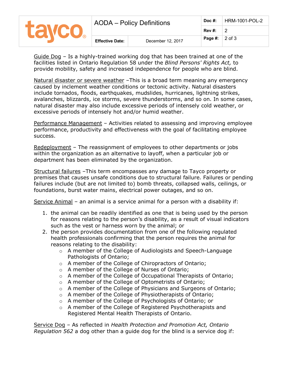|              | <b>AODA</b> – Policy Definitions |                   | Doc $#$ : | HRM-1001-POL-2 |  |
|--------------|----------------------------------|-------------------|-----------|----------------|--|
| <b>Tavco</b> |                                  |                   | Rev #:    |                |  |
|              | <b>Effective Date:</b>           | December 12, 2017 | Page #:   | $2$ of $3$     |  |

Guide Dog – Is a highly-trained working dog that has been trained at one of the facilities listed in Ontario Regulation 58 under the *Blind Persons' Rights Act,* to provide mobility, safety and increased independence for people who are blind.

Natural disaster or severe weather –This is a broad term meaning any emergency caused by inclement weather conditions or tectonic activity. Natural disasters include tornados, floods, earthquakes, mudslides, hurricanes, lightning strikes, avalanches, blizzards, ice storms, severe thunderstorms, and so on. In some cases, natural disaster may also include excessive periods of intensely cold weather, or excessive periods of intensely hot and/or humid weather.

Performance Management – Activities related to assessing and improving employee performance, productivity and effectiveness with the goal of facilitating employee success.

Redeployment – The reassignment of employees to other departments or jobs within the organization as an alternative to layoff, when a particular job or department has been eliminated by the organization.

Structural failures –This term encompasses any damage to Tayco property or premises that causes unsafe conditions due to structural failure. Failures or pending failures include (but are not limited to) bomb threats, collapsed walls, ceilings, or foundations, burst water mains, electrical power outages, and so on.

Service Animal – an animal is a service animal for a person with a disability if:

- 1. the animal can be readily identified as one that is being used by the person for reasons relating to the person's disability, as a result of visual indicators such as the vest or harness worn by the animal; or
- 2. the person provides documentation from one of the following regulated health professionals confirming that the person requires the animal for reasons relating to the disability:
	- o A member of the College of Audiologists and Speech-Language Pathologists of Ontario;
	- o A member of the College of Chiropractors of Ontario;
	- o A member of the College of Nurses of Ontario;
	- o A member of the College of Occupational Therapists of Ontario;
	- o A member of the College of Optometrists of Ontario;
	- $\circ$  A member of the College of Physicians and Surgeons of Ontario;
	- o A member of the College of Physiotherapists of Ontario;
	- o A member of the College of Psychologists of Ontario; or
	- o A member of the College of Registered Psychotherapists and Registered Mental Health Therapists of Ontario.

Service Dog – As reflected in *Health Protection and Promotion Act, Ontario Regulation 562* a dog other than a guide dog for the blind is a service dog if: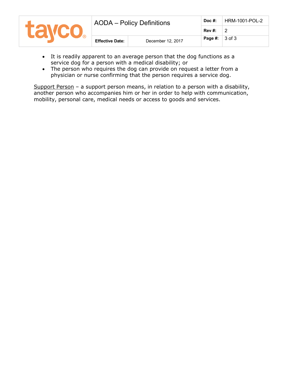|               | <b>AODA</b> – Policy Definitions |                   | Doc $#$ :                     | HRM-1001-POL-2 |  |
|---------------|----------------------------------|-------------------|-------------------------------|----------------|--|
| <b>TAVCO.</b> |                                  | Rev#:             |                               |                |  |
|               | <b>Effective Date:</b>           | December 12, 2017 | <b>Page #:</b> $\vert$ 3 of 3 |                |  |

- It is readily apparent to an average person that the dog functions as a service dog for a person with a medical disability; or
- The person who requires the dog can provide on request a letter from a physician or nurse confirming that the person requires a service dog.

Support Person - a support person means, in relation to a person with a disability, another person who accompanies him or her in order to help with communication, mobility, personal care, medical needs or access to goods and services.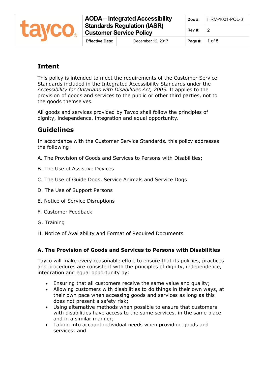

|                        | <b>AODA</b> – Integrated Accessibility                               |                               | Doc #:   HRM-1001-POL-3 |
|------------------------|----------------------------------------------------------------------|-------------------------------|-------------------------|
|                        | <b>Standards Regulation (IASR)</b><br><b>Customer Service Policy</b> | <b>Rev #:</b> 2               |                         |
| <b>Effective Date:</b> | December 12, 2017                                                    | <b>Page #:</b> $\vert$ 1 of 5 |                         |

# **Intent**

This policy is intended to meet the requirements of the Customer Service Standards included in the Integrated Accessibility Standards under the *Accessibility for Ontarians with Disabilities Act, 2005.* It applies to the provision of goods and services to the public or other third parties, not to the goods themselves.

All goods and services provided by Tayco shall follow the principles of dignity, independence, integration and equal opportunity.

# **Guidelines**

In accordance with the Customer Service Standards*,* this policy addresses the following:

- A. The Provision of Goods and Services to Persons with Disabilities;
- B. The Use of Assistive Devices
- C. The Use of Guide Dogs, Service Animals and Service Dogs
- D. The Use of Support Persons
- E. Notice of Service Disruptions
- F. Customer Feedback
- G. Training
- H. Notice of Availability and Format of Required Documents

# **A. The Provision of Goods and Services to Persons with Disabilities**

Tayco will make every reasonable effort to ensure that its policies, practices and procedures are consistent with the principles of dignity, independence, integration and equal opportunity by:

- Ensuring that all customers receive the same value and quality;
- Allowing customers with disabilities to do things in their own ways, at their own pace when accessing goods and services as long as this does not present a safety risk;
- Using alternative methods when possible to ensure that customers with disabilities have access to the same services, in the same place and in a similar manner;
- Taking into account individual needs when providing goods and services; and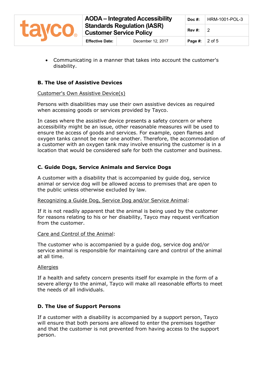

• Communicating in a manner that takes into account the customer's disability.

# **B. The Use of Assistive Devices**

#### Customer's Own Assistive Device(s)

Persons with disabilities may use their own assistive devices as required when accessing goods or services provided by Tayco.

In cases where the assistive device presents a safety concern or where accessibility might be an issue, other reasonable measures will be used to ensure the access of goods and services. For example, open flames and oxygen tanks cannot be near one another. Therefore, the accommodation of a customer with an oxygen tank may involve ensuring the customer is in a location that would be considered safe for both the customer and business.

# **C. Guide Dogs, Service Animals and Service Dogs**

A customer with a disability that is accompanied by guide dog, service animal or service dog will be allowed access to premises that are open to the public unless otherwise excluded by law.

#### Recognizing a Guide Dog, Service Dog and/or Service Animal:

If it is not readily apparent that the animal is being used by the customer for reasons relating to his or her disability, Tayco may request verification from the customer.

#### Care and Control of the Animal:

The customer who is accompanied by a guide dog, service dog and/or service animal is responsible for maintaining care and control of the animal at all time.

#### **Allergies**

If a health and safety concern presents itself for example in the form of a severe allergy to the animal, Tayco will make all reasonable efforts to meet the needs of all individuals.

#### **D. The Use of Support Persons**

If a customer with a disability is accompanied by a support person, Tayco will ensure that both persons are allowed to enter the premises together and that the customer is not prevented from having access to the support person.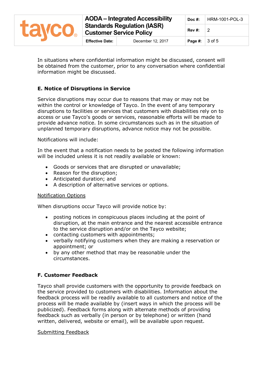

|                        | <b>AODA - Integrated Accessibility</b>                               |                        | Doc #: $ $ HRM-1001-POL-3 |
|------------------------|----------------------------------------------------------------------|------------------------|---------------------------|
|                        | <b>Standards Regulation (IASR)</b><br><b>Customer Service Policy</b> | <b>Rev #:</b>          | ່າ                        |
| <b>Effective Date:</b> | December 12, 2017                                                    | Page #: $\vert$ 3 of 5 |                           |

In situations where confidential information might be discussed, consent will be obtained from the customer, prior to any conversation where confidential information might be discussed.

# **E. Notice of Disruptions in Service**

Service disruptions may occur due to reasons that may or may not be within the control or knowledge of Tayco. In the event of any temporary disruptions to facilities or services that customers with disabilities rely on to access or use Tayco's goods or services, reasonable efforts will be made to provide advance notice. In some circumstances such as in the situation of unplanned temporary disruptions, advance notice may not be possible.

Notifications will include:

In the event that a notification needs to be posted the following information will be included unless it is not readily available or known:

- Goods or services that are disrupted or unavailable;
- Reason for the disruption;
- Anticipated duration; and
- A description of alternative services or options.

#### Notification Options

When disruptions occur Tayco will provide notice by:

- posting notices in conspicuous places including at the point of disruption, at the main entrance and the nearest accessible entrance to the service disruption and/or on the Tayco website;
- contacting customers with appointments;
- verbally notifying customers when they are making a reservation or appointment; or
- by any other method that may be reasonable under the circumstances.

#### **F. Customer Feedback**

Tayco shall provide customers with the opportunity to provide feedback on the service provided to customers with disabilities. Information about the feedback process will be readily available to all customers and notice of the process will be made available by (insert ways in which the process will be publicized). Feedback forms along with alternate methods of providing feedback such as verbally (in person or by telephone) or written (hand written, delivered, website or email), will be available upon request.

#### Submitting Feedback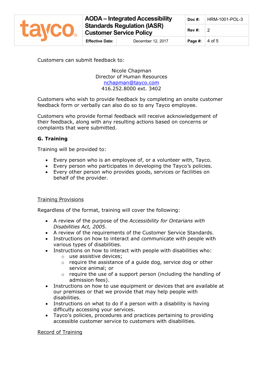

# **AODA – Integrated Accessibility Standards Regulation (IASR) Customer Service Policy**

**Effective Date:** December 12, 2017 **Page #:** 4 of 5

Customers can submit feedback to:

Nicole Chapman Director of Human Resources [nchapman@tayco.com](mailto:nchapman@tayco.com) 416.252.8000 ext. 3402

Customers who wish to provide feedback by completing an onsite customer feedback form or verbally can also do so to any Tayco employee.

Customers who provide formal feedback will receive acknowledgement of their feedback, along with any resulting actions based on concerns or complaints that were submitted.

# **G. Training**

Training will be provided to:

- Every person who is an employee of, or a volunteer with, Tayco.
- Every person who participates in developing the Tayco's policies.
- Every other person who provides goods, services or facilities on behalf of the provider.

#### Training Provisions

Regardless of the format, training will cover the following:

- A review of the purpose of the *Accessibility for Ontarians with Disabilities Act, 2005*.
- A review of the requirements of the Customer Service Standards.
- Instructions on how to interact and communicate with people with various types of disabilities.
- Instructions on how to interact with people with disabilities who:
	- o use assistive devices;
	- $\circ$  require the assistance of a guide dog, service dog or other service animal; or
	- $\circ$  require the use of a support person (including the handling of admission fees).
- Instructions on how to use equipment or devices that are available at our premises or that we provide that may help people with disabilities.
- Instructions on what to do if a person with a disability is having difficulty accessing your services.
- Tayco's policies, procedures and practices pertaining to providing accessible customer service to customers with disabilities.

#### Record of Training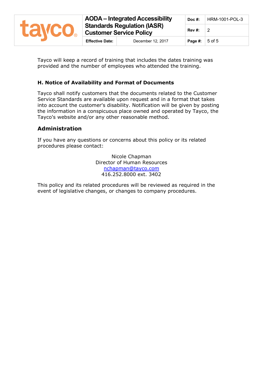

Tayco will keep a record of training that includes the dates training was provided and the number of employees who attended the training.

## **H. Notice of Availability and Format of Documents**

Tayco shall notify customers that the documents related to the Customer Service Standards are available upon request and in a format that takes into account the customer's disability. Notification will be given by posting the information in a conspicuous place owned and operated by Tayco, the Tayco's website and/or any other reasonable method.

## **Administration**

If you have any questions or concerns about this policy or its related procedures please contact:

> Nicole Chapman Director of Human Resources [nchapman@tayco.com](mailto:nchapman@tayco.com) 416.252.8000 ext. 3402

This policy and its related procedures will be reviewed as required in the event of legislative changes, or changes to company procedures.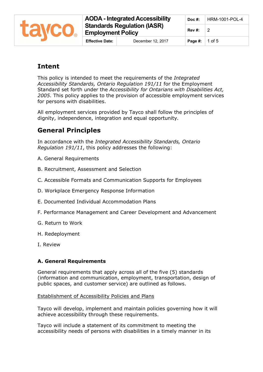

# **Intent**

This policy is intended to meet the requirements of the *Integrated Accessibility Standards, Ontario Regulation 191/11* for the Employment Standard set forth under the *Accessibility for Ontarians with Disabilities Act, 2005*. This policy applies to the provision of accessible employment services for persons with disabilities.

All employment services provided by Tayco shall follow the principles of dignity, independence, integration and equal opportunity.

# **General Principles**

In accordance with the *Integrated Accessibility Standards, Ontario Regulation 191/11*, this policy addresses the following:

- A. General Requirements
- B. Recruitment, Assessment and Selection
- C. Accessible Formats and Communication Supports for Employees
- D. Workplace Emergency Response Information
- E. Documented Individual Accommodation Plans
- F. Performance Management and Career Development and Advancement
- G. Return to Work
- H. Redeployment
- I. Review

# **A. General Requirements**

General requirements that apply across all of the five (5) standards (information and communication, employment, transportation, design of public spaces, and customer service) are outlined as follows.

#### Establishment of Accessibility Policies and Plans

Tayco will develop, implement and maintain policies governing how it will achieve accessibility through these requirements.

Tayco will include a statement of its commitment to meeting the accessibility needs of persons with disabilities in a timely manner in its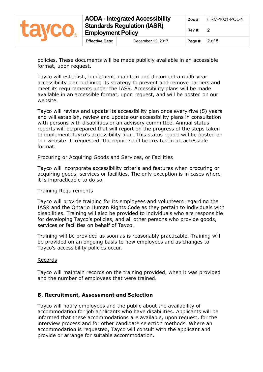

policies. These documents will be made publicly available in an accessible format, upon request.

Tayco will establish, implement, maintain and document a multi-year accessibility plan outlining its strategy to prevent and remove barriers and meet its requirements under the IASR. Accessibility plans will be made available in an accessible format, upon request, and will be posted on our website.

Tayco will review and update its accessibility plan once every five (5) years and will establish, review and update our accessibility plans in consultation with persons with disabilities or an advisory committee. Annual status reports will be prepared that will report on the progress of the steps taken to implement Tayco's accessibility plan. This status report will be posted on our website. If requested, the report shall be created in an accessible format.

#### Procuring or Acquiring Goods and Services, or Facilities

Tayco will incorporate accessibility criteria and features when procuring or acquiring goods, services or facilities. The only exception is in cases where it is impracticable to do so.

#### Training Requirements

Tayco will provide training for its employees and volunteers regarding the IASR and the [Ontario Human Rights Code](http://www.e-laws.gov.on.ca/html/statutes/english/elaws_statutes_90h19_e.htm) as they pertain to individuals with disabilities. Training will also be provided to individuals who are responsible for developing Tayco's policies, and all other persons who provide goods, services or facilities on behalf of Tayco.

Training will be provided as soon as is reasonably practicable. Training will be provided on an ongoing basis to new employees and as changes to Tayco's accessibility policies occur.

#### Records

Tayco will maintain records on the training provided, when it was provided and the number of employees that were trained.

#### **B. Recruitment, Assessment and Selection**

Tayco will notify employees and the public about the availability of accommodation for job applicants who have disabilities. Applicants will be informed that these accommodations are available, upon request, for the interview process and for other candidate selection methods. Where an accommodation is requested, Tayco will consult with the applicant and provide or arrange for suitable accommodation.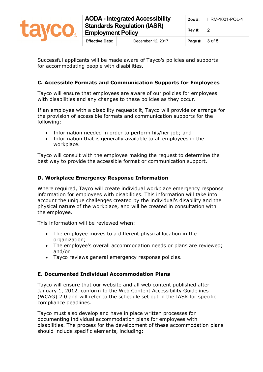

Successful applicants will be made aware of Tayco's policies and supports for accommodating people with disabilities.

## **C. Accessible Formats and Communication Supports for Employees**

Tayco will ensure that employees are aware of our policies for employees with disabilities and any changes to these policies as they occur.

If an employee with a disability requests it, Tayco will provide or arrange for the provision of accessible formats and communication supports for the following:

- Information needed in order to perform his/her job; and
- Information that is generally available to all employees in the workplace.

Tayco will consult with the employee making the request to determine the best way to provide the accessible format or communication support.

## **D. Workplace Emergency Response Information**

Where required, Tayco will create individual workplace emergency response information for employees with disabilities. This information will take into account the unique challenges created by the individual's disability and the physical nature of the workplace, and will be created in consultation with the employee.

This information will be reviewed when:

- The employee moves to a different physical location in the organization;
- The employee's overall accommodation needs or plans are reviewed; and/or
- Tayco reviews general emergency response policies.

#### **E. Documented Individual Accommodation Plans**

Tayco will ensure that our website and all web content published after January 1, 2012, conform to the Web Content Accessibility Guidelines (WCAG) 2.0 and will refer to the schedule set out in the IASR for specific compliance deadlines.

Tayco must also develop and have in place written processes for documenting individual accommodation plans for employees with disabilities. The process for the development of these accommodation plans should include specific elements, including: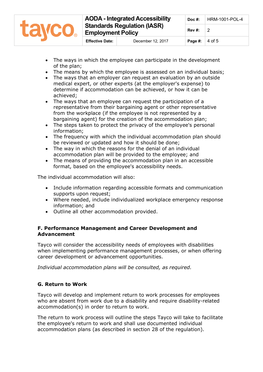

- The ways in which the employee can participate in the development of the plan;
- The means by which the employee is assessed on an individual basis;
- The ways that an employer can request an evaluation by an outside medical expert, or other experts (at the employer's expense) to determine if accommodation can be achieved, or how it can be achieved;
- The ways that an employee can request the participation of a representative from their bargaining agent or other representative from the workplace (if the employee is not represented by a bargaining agent) for the creation of the accommodation plan;
- The steps taken to protect the privacy of the employee's personal information;
- The frequency with which the individual accommodation plan should be reviewed or updated and how it should be done;
- The way in which the reasons for the denial of an individual accommodation plan will be provided to the employee; and
- The means of providing the accommodation plan in an accessible format, based on the employee's accessibility needs.

The individual accommodation will also:

- Include information regarding accessible formats and communication supports upon request;
- Where needed, include individualized workplace emergency response information; and
- Outline all other accommodation provided.

#### **F. Performance Management and Career Development and Advancement**

Tayco will consider the accessibility needs of employees with disabilities when implementing performance management processes, or when offering career development or advancement opportunities.

*Individual accommodation plans will be consulted, as required.*

# **G. Return to Work**

Tayco will develop and implement return to work processes for employees who are absent from work due to a disability and require disability-related accommodation(s) in order to return to work.

The return to work process will outline the steps Tayco will take to facilitate the employee's return to work and shall use documented individual accommodation plans (as described in section 28 of the regulation).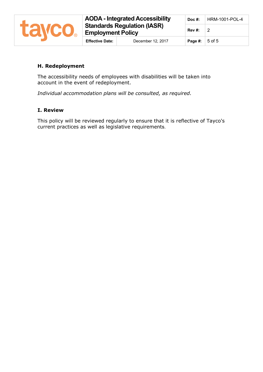

# **H. Redeployment**

The accessibility needs of employees with disabilities will be taken into account in the event of redeployment.

*Individual accommodation plans will be consulted, as required.*

#### **I. Review**

This policy will be reviewed regularly to ensure that it is reflective of Tayco's current practices as well as legislative requirements.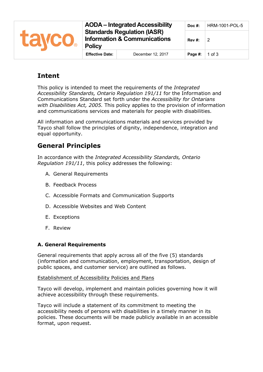

# **Intent**

This policy is intended to meet the requirements of the *Integrated Accessibility Standards, Ontario Regulation 191/11* for the Information and Communications Standard set forth under the *Accessibility for Ontarians with Disabilities Act, 2005.* This policy applies to the provision of information and communications services and materials for people with disabilities.

All information and communications materials and services provided by Tayco shall follow the principles of dignity, independence, integration and equal opportunity.

# **General Principles**

In accordance with the *Integrated Accessibility Standards, Ontario Regulation 191/11*, this policy addresses the following:

- A. General Requirements
- B. Feedback Process
- C. Accessible Formats and Communication Supports
- D. Accessible Websites and Web Content
- E. Exceptions
- F. Review

# **A. General Requirements**

General requirements that apply across all of the five (5) standards (information and communication, employment, transportation, design of public spaces, and customer service) are outlined as follows.

# Establishment of Accessibility Policies and Plans

Tayco will develop, implement and maintain policies governing how it will achieve accessibility through these requirements.

Tayco will include a statement of its commitment to meeting the accessibility needs of persons with disabilities in a timely manner in its policies. These documents will be made publicly available in an accessible format, upon request.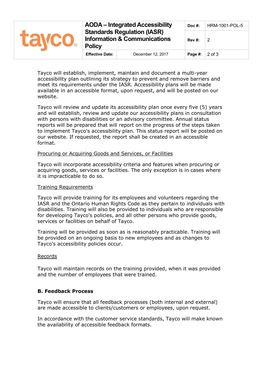| <b>LEWCO</b> | <b>AODA</b> – Integrated Accessibility<br><b>Standards Regulation (IASR)</b><br><b>Information &amp; Communications</b><br><b>Policy</b> |                   | $Doc$ #: | <b>HRM-1001-POL-5</b> |
|--------------|------------------------------------------------------------------------------------------------------------------------------------------|-------------------|----------|-----------------------|
|              |                                                                                                                                          |                   | Rev#:    | -2                    |
|              | <b>Effective Date:</b>                                                                                                                   | December 12, 2017 | Page #:  | $2$ of $3$            |

Tayco will establish, implement, maintain and document a multi-year accessibility plan outlining its strategy to prevent and remove barriers and meet its requirements under the IASR. Accessibility plans will be made available in an accessible format, upon request, and will be posted on our website.

Tayco will review and update its accessibility plan once every five (5) years and will establish, review and update our accessibility plans in consultation with persons with disabilities or an advisory committee. Annual status reports will be prepared that will report on the progress of the steps taken to implement Tayco's accessibility plan. This status report will be posted on our website. If requested, the report shall be created in an accessible format.

#### Procuring or Acquiring Goods and Services, or Facilities

Tayco will incorporate accessibility criteria and features when procuring or acquiring goods, services or facilities. The only exception is in cases where it is impracticable to do so.

#### Training Requirements

Tayco will provide training for its employees and volunteers regarding the IASR and the [Ontario Human Rights Code](http://www.e-laws.gov.on.ca/html/statutes/english/elaws_statutes_90h19_e.htm) as they pertain to individuals with disabilities. Training will also be provided to individuals who are responsible for developing Tayco's policies, and all other persons who provide goods, services or facilities on behalf of Tayco.

Training will be provided as soon as is reasonably practicable. Training will be provided on an ongoing basis to new employees and as changes to Tayco's accessibility policies occur.

#### Records

Tayco will maintain records on the training provided, when it was provided and the number of employees that were trained.

#### **B. Feedback Process**

Tayco will ensure that all feedback processes (both internal and external) are made accessible to clients/customers or employees, upon request.

In accordance with the customer service standards, Tayco will make known the availability of accessible feedback formats.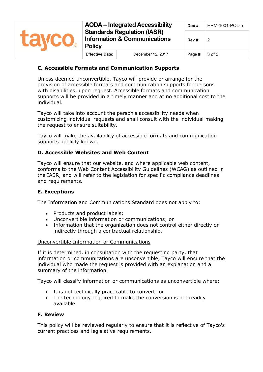

#### **C. Accessible Formats and Communication Supports**

Unless deemed unconvertible, Tayco will provide or arrange for the provision of accessible formats and communication supports for persons with disabilities, upon request. Accessible formats and communication supports will be provided in a timely manner and at no additional cost to the individual.

Tayco will take into account the person's accessibility needs when customizing individual requests and shall consult with the individual making the request to ensure suitability.

Tayco will make the availability of accessible formats and communication supports publicly known.

#### **D. Accessible Websites and Web Content**

Tayco will ensure that our website, and where applicable web content, conforms to the Web Content Accessibility Guidelines (WCAG) as outlined in the IASR, and will refer to the legislation for specific compliance deadlines and requirements.

#### **E. Exceptions**

The Information and Communications Standard does not apply to:

- Products and product labels;
- Unconvertible information or communications; or
- Information that the organization does not control either directly or indirectly through a contractual relationship.

#### Unconvertible Information or Communications

If it is determined, in consultation with the requesting party, that information or communications are unconvertible, Tayco will ensure that the individual who made the request is provided with an explanation and a summary of the information.

Tayco will classify information or communications as unconvertible where:

- It is not technically practicable to convert; or
- The technology required to make the conversion is not readily available.

#### **F. Review**

This policy will be reviewed regularly to ensure that it is reflective of Tayco's current practices and legislative requirements.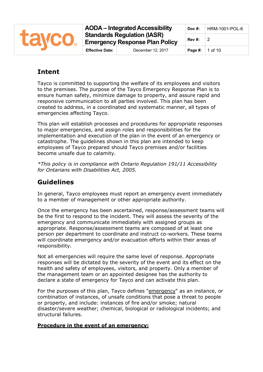

**AODA – Integrated Accessibility Standards Regulation (IASR) Emergency Response Plan Policy Effective Date:** December 12, 2017 **Page #:** | 1 of 10

# **Intent**

Tayco is committed to supporting the welfare of its employees and visitors to the premises. The purpose of the Tayco Emergency Response Plan is to ensure human safety, minimize damage to property, and assure rapid and responsive communication to all parties involved. This plan has been created to address, in a coordinated and systematic manner, all types of emergencies affecting Tayco.

This plan will establish processes and procedures for appropriate responses to major emergencies, and assign roles and responsibilities for the implementation and execution of the plan in the event of an emergency or catastrophe. The guidelines shown in this plan are intended to keep employees of Tayco prepared should Tayco premises and/or facilities become unsafe due to calamity.

*\*This policy is in compliance with Ontario Regulation 191/11 Accessibility for Ontarians with Disabilities Act, 2005.*

# **Guidelines**

In general, Tayco employees must report an emergency event immediately to a member of management or other appropriate authority.

Once the emergency has been ascertained, response/assessment teams will be the first to respond to the incident. They will assess the severity of the emergency and communicate immediately with assigned groups as appropriate. Response/assessment teams are composed of at least one person per department to coordinate and instruct co-workers. These teams will coordinate emergency and/or evacuation efforts within their areas of responsibility.

Not all emergencies will require the same level of response. Appropriate responses will be dictated by the severity of the event and its effect on the health and safety of employees, visitors, and property. Only a member of the management team or an appointed designee has the authority to declare a state of emergency for Tayco and can activate this plan.

For the purposes of this plan, Tayco defines "emergency" as an instance, or combination of instances, of unsafe conditions that pose a threat to people or property, and include: instances of fire and/or smoke; natural disaster/severe weather; chemical, biological or radiological incidents; and structural failures.

# **Procedure in the event of an emergency:**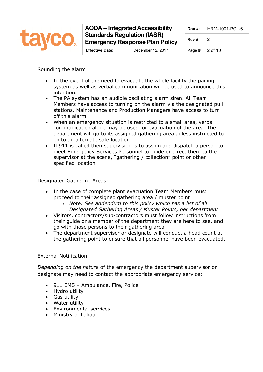

Sounding the alarm:

- In the event of the need to evacuate the whole facility the paging system as well as verbal communication will be used to announce this intention.
- The PA system has an audible oscillating alarm siren. All Team Members have access to turning on the alarm via the designated pull stations. Maintenance and Production Managers have access to turn off this alarm.
- When an emergency situation is restricted to a small area, verbal communication alone may be used for evacuation of the area. The department will go to its assigned gathering area unless instructed to go to an alternate safe location.
- If 911 is called then supervision is to assign and dispatch a person to meet Emergency Services Personnel to guide or direct them to the supervisor at the scene, "gathering / collection" point or other specified location

Designated Gathering Areas:

- In the case of complete plant evacuation Team Members must proceed to their assigned gathering area / muster point
	- o *Note: See addendum to this policy which has a list of all Designated Gathering Areas / Muster Points, per department*
- Visitors, contractors/sub-contractors must follow instructions from their guide or a member of the department they are here to see, and go with those persons to their gathering area
- The department supervisor or designate will conduct a head count at the gathering point to ensure that all personnel have been evacuated.

External Notification:

*Depending on the nature* of the emergency the department supervisor or designate may need to contact the appropriate emergency service:

- 911 EMS Ambulance, Fire, Police
- Hydro utility
- Gas utility
- Water utility
- Environmental services
- Ministry of Labour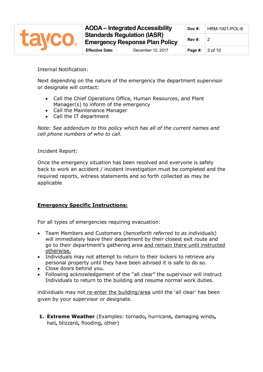

Internal Notification:

Next depending on the nature of the emergency the department supervisor or designate will contact:

- Call the Chief Operations Office, Human Resources, and Plant Manager(s) to inform of the emergency
- Call the Maintenance Manager
- Call the IT department

*Note: See addendum to this policy which has all of the current names and cell phone numbers of who to call.* 

Incident Report:

Once the emergency situation has been resolved and everyone is safely back to work an accident / incident investigation must be completed and the required reports, witness statements and so forth collected as may be applicable

#### **Emergency Specific Instructions:**

For all types of emergencies requiring evacuation:

- Team Members and Customers (*henceforth referred to as individuals*) will immediately leave their department by their closest exit route and go to their department's gathering area and remain there until instructed otherwise.
- Individuals may not attempt to return to their lockers to retrieve any personal property until they have been advised it is safe to do so.
- Close doors behind you.
- Following acknowledgement of the "all clear" the supervisor will instruct Individuals to return to the building and resume normal work duties.

individuals may not re-enter the building/area until the 'all clear' has been given by your supervisor or designate.

**1. Extreme Weather** (Examples: tornado**,** hurricane**,** damaging winds**,**  hail**,** blizzard**,** flooding**,** other)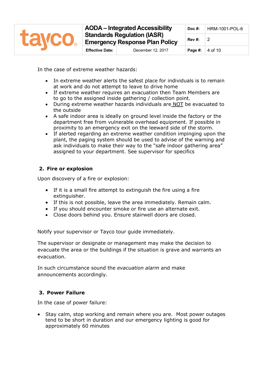

In the case of extreme weather hazards:

- In extreme weather alerts the safest place for individuals is to remain at work and do not attempt to leave to drive home
- If extreme weather requires an evacuation then Team Members are to go to the assigned inside gathering / collection point.
- During extreme weather hazards individuals are NOT be evacuated to the outside
- A safe indoor area is ideally on ground level inside the factory or the department free from vulnerable overhead equipment. If possible in proximity to an emergency exit on the leeward side of the storm.
- If alerted regarding an extreme weather condition impinging upon the plant, the paging system should be used to advise of the warning and ask individuals to make their way to the "safe indoor gathering area" assigned to your department. See supervisor for specifics

# **2. Fire or explosion**

Upon discovery of a fire or explosion:

- If it is a small fire attempt to extinguish the fire using a fire extinguisher.
- If this is not possible, leave the area immediately. Remain calm.
- If you should encounter smoke or fire use an alternate exit.
- Close doors behind you. Ensure stairwell doors are closed.

Notify your supervisor or Tayco tour guide immediately.

The supervisor or designate or management may make the decision to evacuate the area or the buildings if the situation is grave and warrants an evacuation.

In such circumstance sound the *evacuation alarm* and make announcements accordingly.

# **3. Power Failure**

In the case of power failure:

• Stay calm, stop working and remain where you are. Most power outages tend to be short in duration and our emergency lighting is good for approximately 60 minutes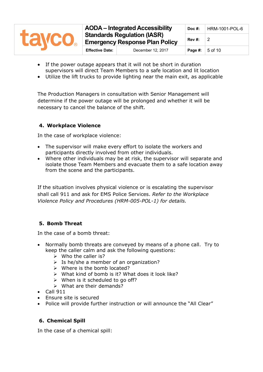| <b>TAVCO.</b> | <b>AODA</b> – Integrated Accessibility<br><b>Standards Regulation (IASR)</b><br><b>Emergency Response Plan Policy</b> |                   | $Doc$ #:                                        | HRM-1001-POL-6 |
|---------------|-----------------------------------------------------------------------------------------------------------------------|-------------------|-------------------------------------------------|----------------|
|               |                                                                                                                       |                   | Rev #:                                          |                |
|               | <b>Effective Date:</b>                                                                                                | December 12, 2017 | <b>Page #:</b> $\vert 5 \text{ of } 10 \rangle$ |                |

- If the power outage appears that it will not be short in duration supervisors will direct Team Members to a safe location and lit location
- Utilize the lift trucks to provide lighting near the main exit, as applicable

The Production Managers in consultation with Senior Management will determine if the power outage will be prolonged and whether it will be necessary to cancel the balance of the shift.

# **4. Workplace Violence**

In the case of workplace violence:

- The supervisor will make every effort to isolate the workers and participants directly involved from other individuals.
- Where other individuals may be at risk, the supervisor will separate and isolate those Team Members and evacuate them to a safe location away from the scene and the participants.

If the situation involves physical violence or is escalating the supervisor shall call 911 and ask for EMS Police Services. *Refer to the Workplace Violence Policy and Procedures (HRM-005-POL-1) for details.*

# **5. Bomb Threat**

In the case of a bomb threat:

- Normally bomb threats are conveyed by means of a phone call. Try to keep the caller calm and ask the following questions:
	- $\triangleright$  Who the caller is?
	- $\triangleright$  Is he/she a member of an organization?
	- $\triangleright$  Where is the bomb located?
	- $\triangleright$  What kind of bomb is it? What does it look like?
	- $\triangleright$  When is it scheduled to go off?
	- What are their demands?
- $\bullet$  Call 911
- Ensure site is secured
- Police will provide further instruction or will announce the "All Clear"

#### **6. Chemical Spill**

In the case of a chemical spill: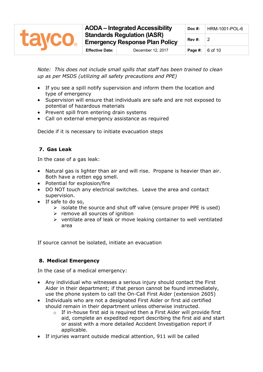

*Note: This does not include small spills that staff has been trained to clean up as per MSDS (utilizing all safety precautions and PPE)*

- If you see a spill notify supervision and inform them the location and type of emergency
- Supervision will ensure that individuals are safe and are not exposed to potential of hazardous materials
- Prevent spill from entering drain systems
- Call on external emergency assistance as required

Decide if it is necessary to initiate evacuation steps

# **7. Gas Leak**

In the case of a gas leak:

- Natural gas is lighter than air and will rise. Propane is heavier than air. Both have a rotten egg smell.
- Potential for explosion/fire
- DO NOT touch any electrical switches. Leave the area and contact supervision.
- If safe to do so,
	- $\triangleright$  isolate the source and shut off valve (ensure proper PPE is used)
	- $\triangleright$  remove all sources of ignition
	- $\triangleright$  ventilate area of leak or move leaking container to well ventilated area

If source cannot be isolated, initiate an evacuation

# **8. Medical Emergency**

In the case of a medical emergency:

- Any individual who witnesses a serious injury should contact the First Aider in their department; if that person cannot be found immediately, use the phone system to call the On-Call First Aider (extension 2605)
- Individuals who are not a designated First Aider or first aid certified should remain in their department unless otherwise instructed.
	- $\circ$  If in-house first aid is required then a First Aider will provide first aid, complete an expedited report describing the first aid and start or assist with a more detailed Accident Investigation report if applicable.
- If injuries warrant outside medical attention, 911 will be called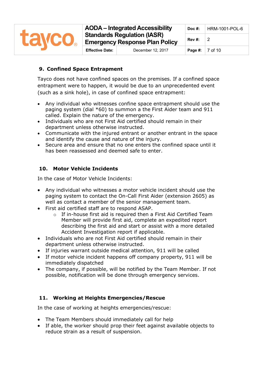

# **9. Confined Space Entrapment**

Tayco does not have confined spaces on the premises. If a confined space entrapment were to happen, it would be due to an unprecedented event (such as a sink hole), in case of confined space entrapment:

- Any individual who witnesses confine space entrapment should use the paging system (dial \*60) to summon a the First Aider team and 911 called. Explain the nature of the emergency.
- Individuals who are not First Aid certified should remain in their department unless otherwise instructed.
- Communicate with the injured entrant or another entrant in the space and identify the cause and nature of the injury.
- Secure area and ensure that no one enters the confined space until it has been reassessed and deemed safe to enter.

## **10. Motor Vehicle Incidents**

In the case of Motor Vehicle Incidents:

- Any individual who witnesses a motor vehicle incident should use the paging system to contact the On-Call First Aider (extension 2605) as well as contact a member of the senior management team.
- First aid certified staff are to respond ASAP.
	- o If in-house first aid is required then a First Aid Certified Team Member will provide first aid, complete an expedited report describing the first aid and start or assist with a more detailed Accident Investigation report if applicable.
- Individuals who are not First Aid certified should remain in their department unless otherwise instructed.
- If injuries warrant outside medical attention, 911 will be called
- If motor vehicle incident happens off company property, 911 will be immediately dispatched
- The company, if possible, will be notified by the Team Member. If not possible, notification will be done through emergency services.

#### **11. Working at Heights Emergencies/Rescue**

In the case of working at heights emergencies/rescue:

- The Team Members should immediately call for help
- If able, the worker should prop their feet against available objects to reduce strain as a result of suspension.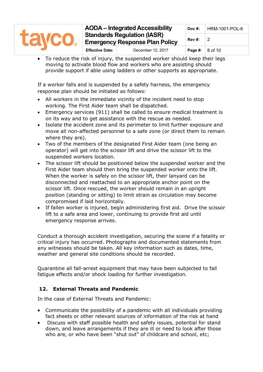| <b>Lavco</b> | <b>AODA</b> – Integrated Accessibility<br><b>Standards Regulation (IASR)</b><br><b>Emergency Response Plan Policy</b> |                   | Doc $#$ : | HRM-1001-POL-6 |  |
|--------------|-----------------------------------------------------------------------------------------------------------------------|-------------------|-----------|----------------|--|
|              |                                                                                                                       |                   | Rev#:     |                |  |
|              | <b>Effective Date:</b>                                                                                                | December 12, 2017 | Page #:   | 8 of 10        |  |

To reduce the risk of injury, the suspended worker should keep their legs moving to activate blood flow and workers who are assisting should provide support if able using ladders or other supports as appropriate.

If a worker falls and is suspended by a safety harness, the emergency response plan should be initiated as follows:

- All workers in the immediate vicinity of the incident need to stop working. The First Aider team shall be dispatched.
- Emergency services (911) shall be called to ensure medical treatment is on its way and to get assistance with the rescue as needed.
- Isolate the accident zone and its perimeter to limit further exposure and move all non-affected personnel to a safe zone (or direct them to remain where they are).
- Two of the members of the designated First Aider team (one being an operator) will get into the scissor lift and drive the scissor lift to the suspended workers location.
- The scissor lift should be positioned below the suspended worker and the First Aider team should then bring the suspended worker onto the lift. When the worker is safely on the scissor lift, their lanyard can be disconnected and reattached to an appropriate anchor point on the scissor lift. Once rescued, the worker should remain in an upright position (standing or sitting) to limit strain as circulation may become compromised if laid horizontally.
- If fallen worker is injured, begin administering first aid. Drive the scissor lift to a safe area and lower, continuing to provide first aid until emergency response arrives.

Conduct a thorough accident investigation, securing the scene if a fatality or critical injury has occurred. Photographs and documented statements from any witnesses should be taken. All key information such as dates, time, weather and general site conditions should be recorded.

Quarantine all fall-arrest equipment that may have been subjected to fall fatigue effects and/or shock loading for further investigation.

# **12. External Threats and Pandemic**

In the case of External Threats and Pandemic:

- Communicate the possibility of a pandemic with all individuals providing fact sheets or other relevant sources of information of the risk at hand
- Discuss with staff possible health and safety issues, potential for stand down, and leave arrangements if they are ill or need to look after those who are, or who have been "shut out" of childcare and school, etc;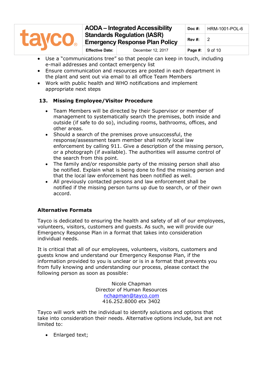

- Use a "communications tree" so that people can keep in touch, including e-mail addresses and contact emergency list
- Ensure communication and resources are posted in each department in the plant and sent out via email to all office Team Members
- Work with public health and WHO notifications and implement appropriate next steps

# **13. Missing Employee/Visitor Procedure**

- Team Members will be directed by their Supervisor or member of management to systematically search the premises, both inside and outside (if safe to do so), including rooms, bathrooms, offices, and other areas.
- Should a search of the premises prove unsuccessful, the response/assessment team member shall notify local law enforcement by calling 911. Give a description of the missing person, or a photograph (if available). The authorities will assume control of the search from this point.
- The family and/or responsible party of the missing person shall also be notified. Explain what is being done to find the missing person and that the local law enforcement has been notified as well.
- All previously contacted persons and law enforcement shall be notified if the missing person turns up due to search, or of their own accord.

# **Alternative Formats**

Tayco is dedicated to ensuring the health and safety of all of our employees, volunteers, visitors, customers and guests. As such, we will provide our Emergency Response Plan in a format that takes into consideration individual needs.

It is critical that all of our employees, volunteers, visitors, customers and guests know and understand our Emergency Response Plan, if the information provided to you is unclear or is in a format that prevents you from fully knowing and understanding our process, please contact the following person as soon as possible:

> Nicole Chapman Director of Human Resources [nchapman@tayco.com](mailto:nchapman@tayco.com) 416.252.8000 etx 3402

Tayco will work with the individual to identify solutions and options that take into consideration their needs. Alternative options include, but are not limited to:

• Enlarged text;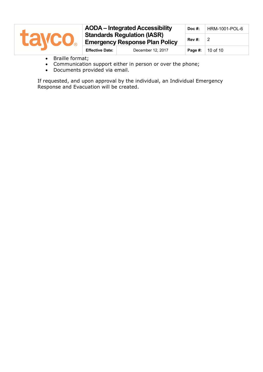| <b>Lavco</b> | <b>AODA</b> – Integrated Accessibility |                                                                             | $Doc$ #: | HRM-1001-POL-6 |
|--------------|----------------------------------------|-----------------------------------------------------------------------------|----------|----------------|
|              |                                        | <b>Standards Regulation (IASR)</b><br><b>Emergency Response Plan Policy</b> |          |                |
|              | <b>Effective Date:</b>                 | December 12, 2017                                                           | Page #:  | 10 of 10       |

- Braille format;
- Communication support either in person or over the phone;
- Documents provided via email.

If requested, and upon approval by the individual, an Individual Emergency Response and Evacuation will be created.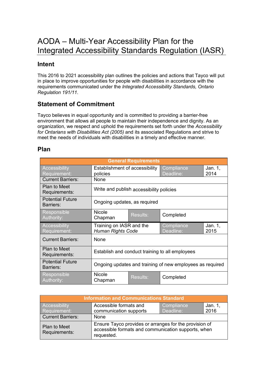# AODA – Multi-Year Accessibility Plan for the Integrated Accessibility Standards Regulation (IASR)

# **Intent**

This 2016 to 2021 accessibility plan outlines the policies and actions that Tayco will put in place to improve opportunities for people with disabilities in accordance with the requirements communicated under the *[Integrated Accessibility Standards, Ontario](http://www.e-laws.gov.on.ca/html/regs/english/elaws_regs_110191_e.htm)  [Regulation 191/11.](http://www.e-laws.gov.on.ca/html/regs/english/elaws_regs_110191_e.htm)*

# **Statement of Commitment**

Tayco believes in equal opportunity and is committed to providing a barrier-free environment that allows all people to maintain their independence and dignity. As an organization, we respect and uphold the requirements set forth under the *Accessibility for Ontarians with Disabilities Act (2005)* and its associated Regulations and strive to meet the needs of individuals with disabilities in a timely and effective manner.

# **Plan**

| <b>General Requirements</b>          |                                                                                          |                                                                          |           |  |  |  |
|--------------------------------------|------------------------------------------------------------------------------------------|--------------------------------------------------------------------------|-----------|--|--|--|
| <b>Accessibility</b><br>Requirement: | Compliance<br>Establishment of accessibility<br>Jan. 1,<br>Deadline:<br>2014<br>policies |                                                                          |           |  |  |  |
| <b>Current Barriers:</b>             | None                                                                                     |                                                                          |           |  |  |  |
| Plan to Meet<br>Requirements:        | Write and publish accessibility policies                                                 |                                                                          |           |  |  |  |
| <b>Potential Future</b><br>Barriers: | Ongoing updates, as required                                                             |                                                                          |           |  |  |  |
| Responsible<br>Authority:            | <b>Nicole</b><br><b>Results:</b><br>Completed<br>Chapman                                 |                                                                          |           |  |  |  |
| <b>Accessibility</b><br>Requirement: |                                                                                          | Training on IASR and the<br>Compliance<br>Human Rights Code<br>Deadline: |           |  |  |  |
| <b>Current Barriers:</b>             | None                                                                                     |                                                                          |           |  |  |  |
| <b>Plan to Meet</b><br>Requirements: | Establish and conduct training to all employees                                          |                                                                          |           |  |  |  |
| <b>Potential Future</b><br>Barriers: | Ongoing updates and training of new employees as required                                |                                                                          |           |  |  |  |
| Responsible<br>Authority:            | <b>Nicole</b><br>Chapman                                                                 | <b>Results:</b>                                                          | Completed |  |  |  |

| <b>Information and Communications Standard</b> |                                                                                                                             |            |         |  |  |
|------------------------------------------------|-----------------------------------------------------------------------------------------------------------------------------|------------|---------|--|--|
| Accessibility                                  | Accessible formats and                                                                                                      | Compliance | Jan. 1, |  |  |
| Requirement:                                   | communication supports                                                                                                      | Deadline:  | 2016    |  |  |
| <b>Current Barriers:</b>                       | None                                                                                                                        |            |         |  |  |
| <b>Plan to Meet</b><br>Requirements:           | Ensure Tayco provides or arranges for the provision of<br>accessible formats and communication supports, when<br>requested. |            |         |  |  |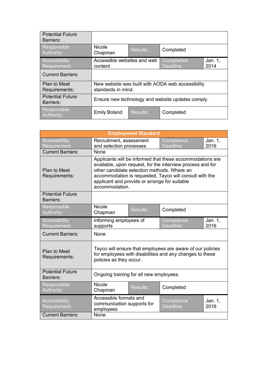| <b>Potential Future</b><br>Barriers:        |                                                                         |                 |                 |  |
|---------------------------------------------|-------------------------------------------------------------------------|-----------------|-----------------|--|
| Responsible<br>Authority:                   | <b>Nicole</b><br>Chapman                                                | Results:        | Completed       |  |
| Accessibility<br>Requirement:               | Accessible websites and web<br>Compliance<br>Deadline:<br>content       |                 | Jan. 1,<br>2014 |  |
| <b>Current Barriers:</b>                    |                                                                         |                 |                 |  |
| <b>Plan to Meet</b><br>Requirements:        | New website was built with AODA web accessibility<br>standards in mind. |                 |                 |  |
| <b>Potential Future</b><br><b>Barriers:</b> | Ensure new technology and website updates comply.                       |                 |                 |  |
| Responsible<br>Authority:                   | <b>Emily Boland</b>                                                     | <b>Results:</b> | Completed       |  |

| <b>Employment Standard</b>           |                                                                                                                                                                                                                                                                                                      |          |                         |                 |
|--------------------------------------|------------------------------------------------------------------------------------------------------------------------------------------------------------------------------------------------------------------------------------------------------------------------------------------------------|----------|-------------------------|-----------------|
| Accessibility<br>Requirement:        | Recruitment, assessment<br>and selection processes                                                                                                                                                                                                                                                   |          | Compliance<br>Deadline: | Jan. 1,<br>2016 |
| <b>Current Barriers:</b>             | None                                                                                                                                                                                                                                                                                                 |          |                         |                 |
| <b>Plan to Meet</b><br>Requirements: | Applicants will be informed that these accommodations are<br>available, upon request, for the interview process and for<br>other candidate selection methods. Where an<br>accommodation is requested, Tayco will consult with the<br>applicant and provide or arrange for suitable<br>accommodation. |          |                         |                 |
| <b>Potential Future</b><br>Barriers: |                                                                                                                                                                                                                                                                                                      |          |                         |                 |
| Responsible<br>Authority:            | <b>Nicole</b><br>Chapman                                                                                                                                                                                                                                                                             | Results: | Completed               |                 |
| Accessibility<br>Requirement:        | Informing employees of<br>supports                                                                                                                                                                                                                                                                   |          | Compliance<br>Deadline: | Jan. 1,<br>2016 |
| <b>Current Barriers:</b>             | None                                                                                                                                                                                                                                                                                                 |          |                         |                 |
| <b>Plan to Meet</b><br>Requirements: | Tayco will ensure that employees are aware of our policies<br>for employees with disabilities and any changes to these<br>policies as they occur.                                                                                                                                                    |          |                         |                 |
| <b>Potential Future</b><br>Barriers: | Ongoing training for all new employees.                                                                                                                                                                                                                                                              |          |                         |                 |
| Responsible<br>Authority:            | <b>Nicole</b><br><b>Results:</b><br>Completed<br>Chapman                                                                                                                                                                                                                                             |          |                         |                 |
| <b>Accessibility</b><br>Requirement: | Accessible formats and<br>communication supports for<br>employees                                                                                                                                                                                                                                    |          | Compliance<br>Deadline: | Jan. 1,<br>2016 |
| <b>Current Barriers:</b>             | None                                                                                                                                                                                                                                                                                                 |          |                         |                 |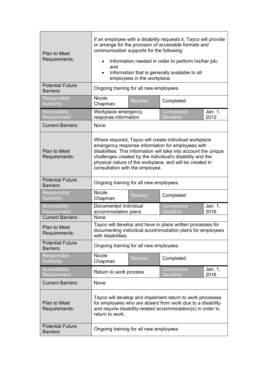| <b>Plan to Meet</b><br>Requirements:                             | If an employee with a disability requests it, Tayco will provide<br>or arrange for the provision of accessible formats and<br>communication supports for the following:<br>Information needed in order to perform his/her job;<br>and<br>Information that is generally available to all<br>$\bullet$<br>employees in the workplace.         |                 |                         |                 |
|------------------------------------------------------------------|---------------------------------------------------------------------------------------------------------------------------------------------------------------------------------------------------------------------------------------------------------------------------------------------------------------------------------------------|-----------------|-------------------------|-----------------|
| <b>Potential Future</b><br><b>Barriers:</b>                      | Ongoing training for all new employees.                                                                                                                                                                                                                                                                                                     |                 |                         |                 |
| Responsible<br>Authority:                                        | <b>Nicole</b><br>Chapman                                                                                                                                                                                                                                                                                                                    | <b>Results:</b> | Completed               |                 |
| <b>Accessibility</b><br>Requirement:                             | Workplace emergency<br>response information                                                                                                                                                                                                                                                                                                 |                 | Compliance<br>Deadline: | Jan. 1,<br>2012 |
| <b>Current Barriers:</b>                                         | None                                                                                                                                                                                                                                                                                                                                        |                 |                         |                 |
| <b>Plan to Meet</b><br>Requirements:                             | Where required, Tayco will create individual workplace<br>emergency response information for employees with<br>disabilities. This information will take into account the unique<br>challenges created by the individual's disability and the<br>physical nature of the workplace, and will be created in<br>consultation with the employee. |                 |                         |                 |
| <b>Potential Future</b><br><b>Barriers:</b>                      | Ongoing training for all new employees.                                                                                                                                                                                                                                                                                                     |                 |                         |                 |
| Responsible<br>Authority:                                        | <b>Nicole</b><br>Chapman                                                                                                                                                                                                                                                                                                                    | <b>Results:</b> | Completed               |                 |
| <b>Accessibility</b><br>Requirement:<br><b>Current Barriers:</b> | Compliance<br>Documented individual<br>Jan. 1,<br>Deadline:<br>accommodation plans<br>2016<br>None                                                                                                                                                                                                                                          |                 |                         |                 |
| <b>Plan to Meet</b><br>Requirements:                             | Tayco will develop and have in place written processes for<br>documenting individual accommodation plans for employees<br>with disabilities.                                                                                                                                                                                                |                 |                         |                 |
| <b>Potential Future</b><br>Barriers:                             | Ongoing training for all new employees.                                                                                                                                                                                                                                                                                                     |                 |                         |                 |
| Responsible<br>Authority:                                        | <b>Nicole</b><br>Chapman                                                                                                                                                                                                                                                                                                                    | <b>Results:</b> | Completed               |                 |
| <b>Accessibility</b><br>Requirement:                             | Compliance<br>Jan. 1,<br>Return to work process<br>Deadline:<br>2016                                                                                                                                                                                                                                                                        |                 |                         |                 |
| <b>Current Barriers:</b>                                         | None                                                                                                                                                                                                                                                                                                                                        |                 |                         |                 |
| Plan to Meet<br>Requirements:                                    | Tayco will develop and implement return to work processes<br>for employees who are absent from work due to a disability<br>and require disability-related accommodation(s) in order to<br>return to work.                                                                                                                                   |                 |                         |                 |
| <b>Potential Future</b><br>Barriers:                             | Ongoing training for all new employees.                                                                                                                                                                                                                                                                                                     |                 |                         |                 |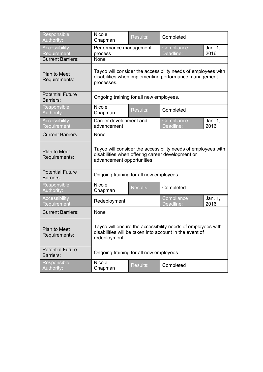| Responsible<br>Authority:                   | <b>Nicole</b><br>Chapman                                                                                                                        | <b>Results:</b> | Completed               |                 |
|---------------------------------------------|-------------------------------------------------------------------------------------------------------------------------------------------------|-----------------|-------------------------|-----------------|
| <b>Accessibility</b><br>Requirement:        | Performance management<br>process                                                                                                               |                 | Compliance<br>Deadline: | Jan. 1,<br>2016 |
| <b>Current Barriers:</b>                    | None                                                                                                                                            |                 |                         |                 |
| <b>Plan to Meet</b><br>Requirements:        | Tayco will consider the accessibility needs of employees with<br>disabilities when implementing performance management<br>processes.            |                 |                         |                 |
| <b>Potential Future</b><br><b>Barriers:</b> | Ongoing training for all new employees.                                                                                                         |                 |                         |                 |
| Responsible<br>Authority:                   | <b>Nicole</b><br>Chapman                                                                                                                        | <b>Results:</b> | Completed               |                 |
| <b>Accessibility</b><br>Requirement:        | Career development and<br>advancement                                                                                                           |                 | Compliance<br>Deadline: | Jan. 1,<br>2016 |
| <b>Current Barriers:</b>                    | None                                                                                                                                            |                 |                         |                 |
| <b>Plan to Meet</b><br>Requirements:        | Tayco will consider the accessibility needs of employees with<br>disabilities when offering career development or<br>advancement opportunities. |                 |                         |                 |
| <b>Potential Future</b><br><b>Barriers:</b> | Ongoing training for all new employees.                                                                                                         |                 |                         |                 |
| Responsible<br>Authority:                   | <b>Nicole</b><br>Chapman                                                                                                                        | <b>Results:</b> | Completed               |                 |
| <b>Accessibility</b><br>Requirement:        | Compliance<br>Redeployment<br>Deadline:                                                                                                         |                 |                         | Jan. 1,<br>2016 |
| <b>Current Barriers:</b>                    | None                                                                                                                                            |                 |                         |                 |
| Plan to Meet<br>Requirements:               | Tayco will ensure the accessibility needs of employees with<br>disabilities will be taken into account in the event of<br>redeployment.         |                 |                         |                 |
| <b>Potential Future</b><br>Barriers:        | Ongoing training for all new employees.                                                                                                         |                 |                         |                 |
| Responsible<br>Authority:                   | Nicole<br>Chapman                                                                                                                               | Results:        | Completed               |                 |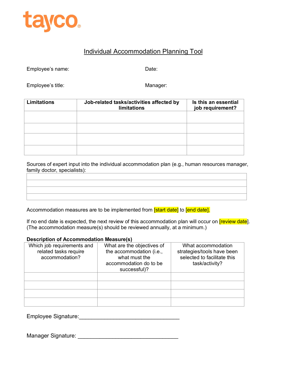

# Individual Accommodation Planning Tool

Employee's name: Date:

Employee's title: Manager: Manager: Manager: Manager: Manager: Manager: Manager: Manager: Manager: Manager:  $\blacksquare$ 

| <b>Limitations</b> | Job-related tasks/activities affected by<br><b>limitations</b> | Is this an essential<br>job requirement? |
|--------------------|----------------------------------------------------------------|------------------------------------------|
|                    |                                                                |                                          |
|                    |                                                                |                                          |
|                    |                                                                |                                          |
|                    |                                                                |                                          |

Sources of expert input into the individual accommodation plan (e.g., human resources manager, family doctor, specialists):

Accommodation measures are to be implemented from [start date] to [end date].

If no end date is expected, the next review of this accommodation plan will occur on *[review date]*. (The accommodation measure(s) should be reviewed annually, at a minimum.)

#### **Description of Accommodation Measure(s)**

| Which job requirements and<br>related tasks require<br>accommodation? | What are the objectives of<br>the accommodation (i.e.,<br>what must the<br>accommodation do to be<br>successful)? | What accommodation<br>strategies/tools have been<br>selected to facilitate this<br>task/activity? |
|-----------------------------------------------------------------------|-------------------------------------------------------------------------------------------------------------------|---------------------------------------------------------------------------------------------------|
|                                                                       |                                                                                                                   |                                                                                                   |
|                                                                       |                                                                                                                   |                                                                                                   |
|                                                                       |                                                                                                                   |                                                                                                   |
|                                                                       |                                                                                                                   |                                                                                                   |

Employee Signature:\_\_\_\_\_\_\_\_\_\_\_\_\_\_\_\_\_\_\_\_\_\_\_\_\_\_\_\_\_\_\_\_

Manager Signature: \_\_\_\_\_\_\_\_\_\_\_\_\_\_\_\_\_\_\_\_\_\_\_\_\_\_\_\_\_\_\_\_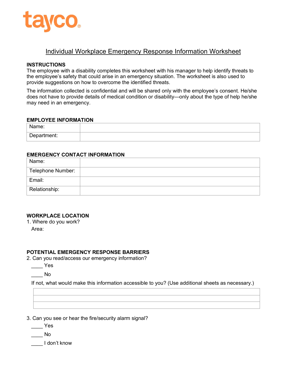

# Individual Workplace Emergency Response Information Worksheet

#### **INSTRUCTIONS**

The employee with a disability completes this worksheet with his manager to help identify threats to the employee's safety that could arise in an emergency situation. The worksheet is also used to provide suggestions on how to overcome the identified threats.

The information collected is confidential and will be shared only with the employee's consent. He/she does not have to provide details of medical condition or disability—only about the type of help he/she may need in an emergency.

#### **EMPLOYEE INFORMATION**

| $-$<br>ue.                      |  |
|---------------------------------|--|
| ∩on∴<br>$H = 1$<br>--<br>⊶<br>ີ |  |

#### **EMERGENCY CONTACT INFORMATION**

| Name:             |  |
|-------------------|--|
| Telephone Number: |  |
| Email:            |  |
| Relationship:     |  |

#### **WORKPLACE LOCATION**

1. Where do you work? Area:

#### **POTENTIAL EMERGENCY RESPONSE BARRIERS**

- 2. Can you read/access our emergency information?
	- $\mathsf{\_}$  Yes

\_\_\_\_ No

If not, what would make this information accessible to you? (Use additional sheets as necessary.)

3. Can you see or hear the fire/security alarm signal?

\_\_\_\_ Yes

 $\_\_$  No

\_\_\_\_ I don't know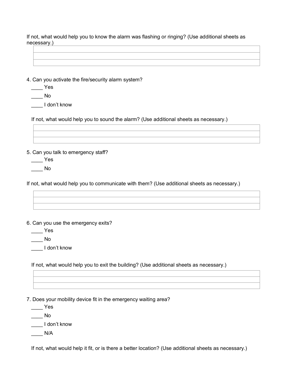If not, what would help you to know the alarm was flashing or ringing? (Use additional sheets as necessary.)

4. Can you activate the fire/security alarm system?

 $\rule{1em}{0.15mm}$  Yes

 $\overline{\phantom{0}}$  No

\_\_\_\_ I don't know

If not, what would help you to sound the alarm? (Use additional sheets as necessary.)

5. Can you talk to emergency staff?

 $\rule{1em}{0.15mm}$  Yes

\_\_\_\_ No

If not, what would help you to communicate with them? (Use additional sheets as necessary.)

6. Can you use the emergency exits?

 $\rule{1em}{0.15mm}$  Yes

 $\_\_$  No

\_\_\_\_ I don't know

If not, what would help you to exit the building? (Use additional sheets as necessary.)

7. Does your mobility device fit in the emergency waiting area?

\_\_\_\_ Yes

\_\_\_\_ No

\_\_\_\_ I don't know

 $N/A$ 

If not, what would help it fit, or is there a better location? (Use additional sheets as necessary.)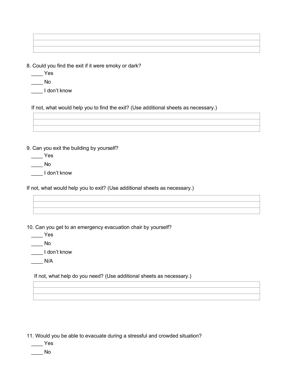8. Could you find the exit if it were smoky or dark?

- $\rule{1em}{0.15mm}$  Yes
- $\_\_$  No
- \_\_\_\_ I don't know

If not, what would help you to find the exit? (Use additional sheets as necessary.)

9. Can you exit the building by yourself?

 $\_\_$  Yes

 $\_\_$  No

\_\_\_\_ I don't know

If not, what would help you to exit? (Use additional sheets as necessary.)

10. Can you get to an emergency evacuation chair by yourself?

 $\frac{1}{2}$  Yes

\_\_\_\_ No

\_\_\_\_ I don't know

 $\frac{N}{A}$ 

If not, what help do you need? (Use additional sheets as necessary.)

11. Would you be able to evacuate during a stressful and crowded situation?

 $\frac{1}{2}$  Yes

\_\_\_\_ No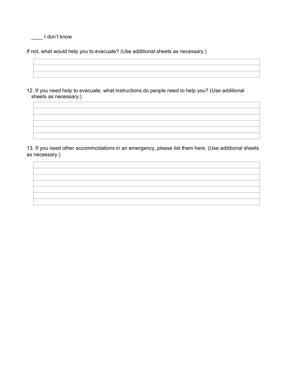\_\_\_\_ I don't know

If not, what would help you to evacuate? (Use additional sheets as necessary.)

12. If you need help to evacuate, what instructions do people need to help you? (Use additional sheets as necessary.)

13. If you need other accommodations in an emergency, please list them here. (Use additional sheets as necessary.)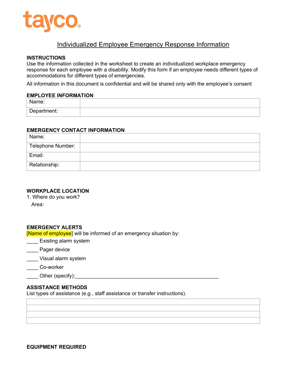

# Individualized Employee Emergency Response Information

#### **INSTRUCTIONS**

Use the information collected in the worksheet to create an individualized workplace emergency response for each employee with a disability. Modify this form if an employee needs different types of accommodations for different types of emergencies.

All information in this document is confidential and will be shared only with the employee's consent

#### **EMPLOYEE INFORMATION**

| $-$<br>11U.           |  |
|-----------------------|--|
| Denar<br>$T = 1$<br>. |  |

#### **EMERGENCY CONTACT INFORMATION**

| Name:             |  |
|-------------------|--|
| Telephone Number: |  |
| Email:            |  |
| Relationship:     |  |

#### **WORKPLACE LOCATION**

1. Where do you work? Area:

#### **EMERGENCY ALERTS**

[Name of employee] will be informed of an emergency situation by:

Existing alarm system

**Example 2** Pager device

- \_\_\_\_ Visual alarm system
- \_\_\_\_ Co-worker
- Other (specify):

#### **ASSISTANCE METHODS**

List types of assistance (e.g., staff assistance or transfer instructions).

**EQUIPMENT REQUIRED**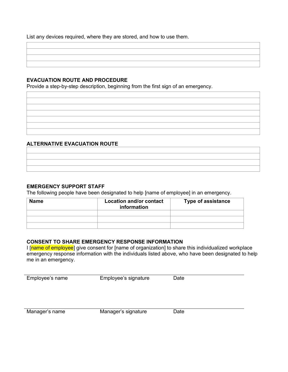List any devices required, where they are stored, and how to use them.

#### **EVACUATION ROUTE AND PROCEDURE**

Provide a step-by-step description, beginning from the first sign of an emergency.

#### **ALTERNATIVE EVACUATION ROUTE**

#### **EMERGENCY SUPPORT STAFF**

The following people have been designated to help [name of employee] in an emergency.

| Name | <b>Location and/or contact</b><br>information | <b>Type of assistance</b> |
|------|-----------------------------------------------|---------------------------|
|      |                                               |                           |
|      |                                               |                           |
|      |                                               |                           |

#### **CONSENT TO SHARE EMERGENCY RESPONSE INFORMATION**

I [name of employee] give consent for [name of organization] to share this individualized workplace emergency response information with the individuals listed above, who have been designated to help me in an emergency.

| Employee's name | Employee's signature | Date |
|-----------------|----------------------|------|
|                 |                      |      |
|                 |                      |      |
|                 |                      |      |
|                 |                      |      |
| Manager's name  | Manager's signature  | Date |